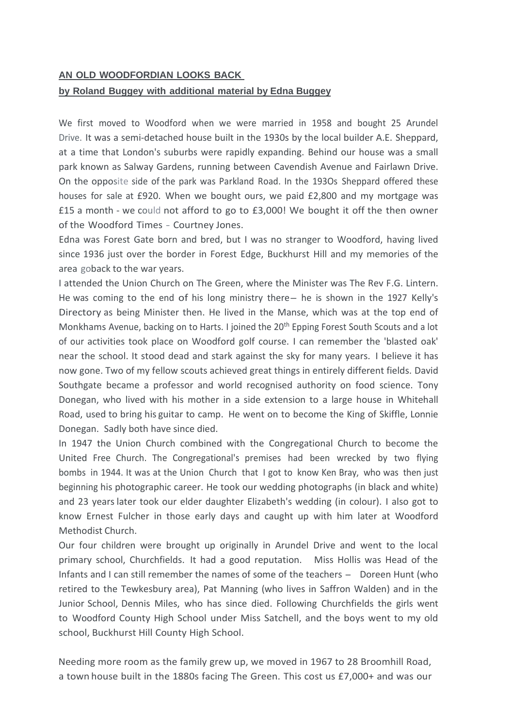## **AN OLD WOODFORDIAN LOOKS BACK**

## **by Roland Buggey with additional material by Edna Buggey**

We first moved to Woodford when we were married in 1958 and bought 25 Arundel Drive. It was a semi-detached house built in the 1930s by the local builder A.E. Sheppard, at a time that London's suburbs were rapidly expanding. Behind our house was a small park known as Salway Gardens, running between Cavendish Avenue and Fairlawn Drive. On the opposite side of the park was Parkland Road. In the 193Os Sheppard offered these houses for sale at £920. When we bought ours, we paid £2,800 and my mortgage was £15 a month - we could not afford to go to £3,000! We bought it off the then owner of the Woodford Times - Courtney Jones.

Edna was Forest Gate born and bred, but I was no stranger to Woodford, having lived since 1936 just over the border in Forest Edge, Buckhurst Hill and my memories of the area goback to the war years.

I attended the Union Church on The Green, where the Minister was The Rev F.G. Lintern. He was coming to the end of his long ministry there- he is shown in the 1927 Kelly's Directory as being Minister then. He lived in the Manse, which was at the top end of Monkhams Avenue, backing on to Harts. I joined the 20<sup>th</sup> Epping Forest South Scouts and a lot of our activities took place on Woodford golf course. I can remember the 'blasted oak' near the school. It stood dead and stark against the sky for many years. I believe it has now gone. Two of my fellow scouts achieved great things in entirely different fields. David Southgate became a professor and world recognised authority on food science. Tony Donegan, who lived with his mother in a side extension to a large house in Whitehall Road, used to bring his guitar to camp. He went on to become the King of Skiffle, Lonnie Donegan. Sadly both have since died.

In 1947 the Union Church combined with the Congregational Church to become the United Free Church. The Congregational's premises had been wrecked by two flying bombs in 1944. It was at the Union Church that I got to know Ken Bray, who was then just beginning his photographic career. He took our wedding photographs (in black and white) and 23 years later took our elder daughter Elizabeth's wedding (in colour). I also got to know Ernest Fulcher in those early days and caught up with him later at Woodford Methodist Church.

Our four children were brought up originally in Arundel Drive and went to the local primary school, Churchfields. It had a good reputation. Miss Hollis was Head of the Infants and I can still remember the names of some of the teachers - Doreen Hunt (who retired to the Tewkesbury area), Pat Manning (who lives in Saffron Walden) and in the Junior School, Dennis Miles, who has since died. Following Churchfields the girls went to Woodford County High School under Miss Satchell, and the boys went to my old school, Buckhurst Hill County High School.

Needing more room as the family grew up, we moved in 1967 to 28 Broomhill Road, a town house built in the 1880s facing The Green. This cost us £7,000+ and was our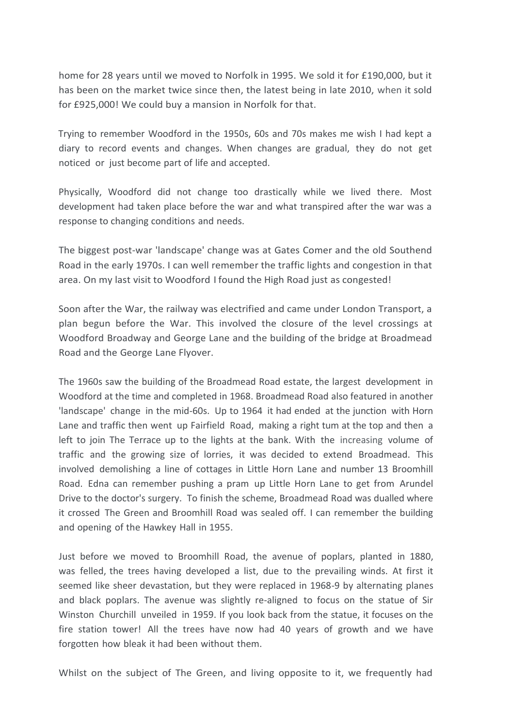home for 28 years until we moved to Norfolk in 1995. We sold it for £190,000, but it has been on the market twice since then, the latest being in late 2010, when it sold for £925,000! We could buy a mansion in Norfolk for that.

Trying to remember Woodford in the 1950s, 60s and 70s makes me wish I had kept a diary to record events and changes. When changes are gradual, they do not get noticed or just become part of life and accepted.

Physically, Woodford did not change too drastically while we lived there. Most development had taken place before the war and what transpired after the war was a response to changing conditions and needs.

The biggest post-war 'landscape' change was at Gates Comer and the old Southend Road in the early 1970s. I can well remember the traffic lights and congestion in that area. On my last visit to Woodford I found the High Road just as congested!

Soon after the War, the railway was electrified and came under London Transport, a plan begun before the War. This involved the closure of the level crossings at Woodford Broadway and George Lane and the building of the bridge at Broadmead Road and the George Lane Flyover.

The 1960s saw the building of the Broadmead Road estate, the largest development in Woodford at the time and completed in 1968. Broadmead Road also featured in another 'landscape' change in the mid-60s. Up to 1964 it had ended at the junction with Horn Lane and traffic then went up Fairfield Road, making a right tum at the top and then a left to join The Terrace up to the lights at the bank. With the increasing volume of traffic and the growing size of lorries, it was decided to extend Broadmead. This involved demolishing a line of cottages in Little Horn Lane and number 13 Broomhill Road. Edna can remember pushing a pram up Little Horn Lane to get from Arundel Drive to the doctor's surgery. To finish the scheme, Broadmead Road was dualled where it crossed The Green and Broomhill Road was sealed off. I can remember the building and opening of the Hawkey Hall in 1955.

Just before we moved to Broomhill Road, the avenue of poplars, planted in 1880, was felled, the trees having developed a list, due to the prevailing winds. At first it seemed like sheer devastation, but they were replaced in 1968-9 by alternating planes and black poplars. The avenue was slightly re-aligned to focus on the statue of Sir Winston Churchill unveiled in 1959. If you look back from the statue, it focuses on the fire station tower! All the trees have now had 40 years of growth and we have forgotten how bleak it had been without them.

Whilst on the subject of The Green, and living opposite to it, we frequently had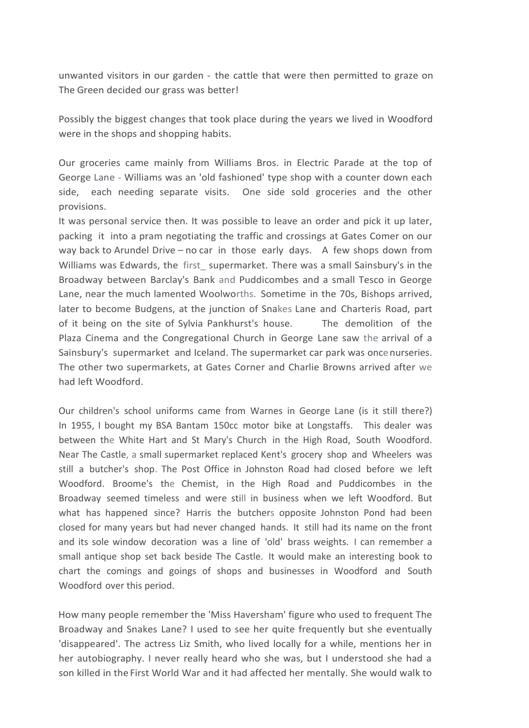unwanted visitors in our garden - the cattle that were then permitted to graze on The Green decided our grass was better!

Possibly the biggest changes that took place during the years we lived in Woodford were in the shops and shopping habits.

Our groceries came mainly from Williams Bros. in Electric Parade at the top of George Lane - Williams was an 'old fashioned' type shop with a counter down each side, each needing separate visits. One side sold groceries and the other provisions.

It was personal service then. It was possible to leave an order and pick it up later, packing it into a pram negotiating the traffic and crossings at Gates Comer on our way back to Arundel Drive – no car in those early days. A few shops down from Williams was Edwards, the first supermarket. There was a small Sainsbury's in the Broadway between Barclay's Bank and Puddicombes and a small Tesco in George Lane, near the much lamented Woolworths. Sometime in the 70s, Bishops arrived, later to become Budgens, at the junction of Snakes Lane and Charteris Road, part of it being on the site of Sylvia Pankhurst's house. The demolition of the Plaza Cinema and the Congregational Church in George Lane saw the arrival of a Sainsbury's supermarket and Iceland. The supermarket car park was oncenurseries. The other two supermarkets, at Gates Corner and Charlie Browns arrived after we had left Woodford.

Our children's school uniforms came from Warnes in George Lane (is it still there?) In 1955, I bought my BSA Bantam 150cc motor bike at Longstaffs. This dealer was between the White Hart and St Mary's Church in the High Road, South Woodford. Near The Castle, a small supermarket replaced Kent's grocery shop and Wheelers was still a butcher's shop. The Post Office in Johnston Road had closed before we left Woodford. Broome's the Chemist, in the High Road and Puddicombes in the Broadway seemed timeless and were still in business when we left Woodford. But what has happened since? Harris the butchers opposite Johnston Pond had been closed for many years but had never changed hands. It still had its name on the front and its sole window decoration was a line of 'old' brass weights. I can remember a small antique shop set back beside The Castle. It would make an interesting book to chart the comings and goings of shops and businesses in Woodford and South Woodford over this period.

How many people remember the 'Miss Haversham' figure who used to frequent The Broadway and Snakes Lane? I used to see her quite frequently but she eventually 'disappeared'. The actress Liz Smith, who lived locally for a while, mentions her in her autobiography. I never really heard who she was, but I understood she had a son killed in the First World War and it had affected her mentally. She would walk to